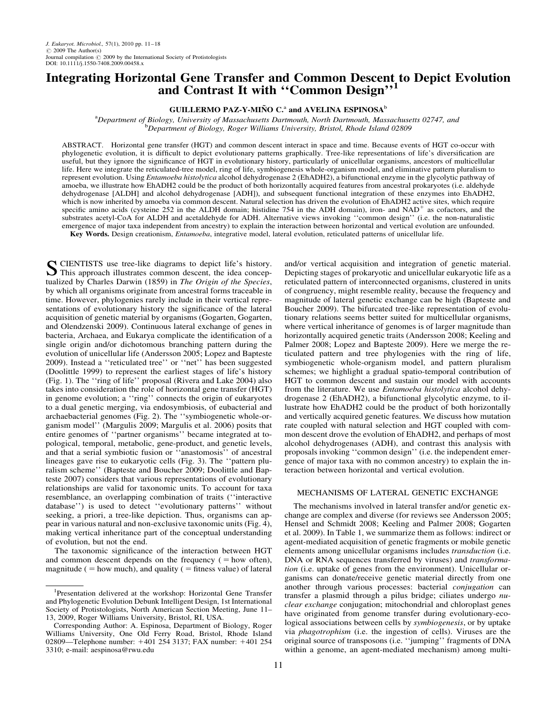# Integrating Horizontal Gene Transfer and Common Descent to Depict Evolution and Contrast It with "Common Design",1

## GUILLERMO PAZ-Y-MIÑO C.<sup>a</sup> and AVELINA ESPINOSA<sup>b</sup>

<sup>a</sup> Department of Biology, University of Massachusetts Dartmouth, North Dartmouth, Massachusetts 02747, and<br><sup>b</sup> Department of Biology, Roger Williams University, Bristol, Rhode Island 02809 <sup>b</sup>Department of Biology, Roger Williams University, Bristol, Rhode Island 02809

ABSTRACT. Horizontal gene transfer (HGT) and common descent interact in space and time. Because events of HGT co-occur with phylogenetic evolution, it is difficult to depict evolutionary patterns graphically. Tree-like representations of life's diversification are useful, but they ignore the significance of HGT in evolutionary history, particularly of unicellular organisms, ancestors of multicellular life. Here we integrate the reticulated-tree model, ring of life, symbiogenesis whole-organism model, and eliminative pattern pluralism to represent evolution. Using *Entamoeba histolytica* alcohol dehydrogenase 2 (EhADH2), a bifunctional enzyme in the glycolytic pathway of amoeba, we illustrate how EhADH2 could be the product of both horizontally acquired features from ancestral prokaryotes (i.e. aldehyde dehydrogenase [ALDH] and alcohol dehydrogenase [ADH]), and subsequent functional integration of these enzymes into EhADH2, which is now inherited by amoeba via common descent. Natural selection has driven the evolution of EhADH2 active sites, which require specific amino acids (cysteine 252 in the ALDH domain; histidine 754 in the ADH domain), iron- and  $NAD<sup>+</sup>$  as cofactors, and the substrates acetyl-CoA for ALDH and acetaldehyde for ADH. Alternative views invoking ''common design'' (i.e. the non-naturalistic emergence of major taxa independent from ancestry) to explain the interaction between horizontal and vertical evolution are unfounded. Key Words. Design creationism, Entamoeba, integrative model, lateral evolution, reticulated patterns of unicellular life.

S CIENTISTS use tree-like diagrams to depict life's history.<br>This approach illustrates common descent, the idea conceptualized by Charles Darwin (1859) in The Origin of the Species, by which all organisms originate from ancestral forms traceable in time. However, phylogenies rarely include in their vertical representations of evolutionary history the significance of the lateral acquisition of genetic material by organisms (Gogarten, Gogarten, and Olendzenski 2009). Continuous lateral exchange of genes in bacteria, Archaea, and Eukarya complicate the identification of a single origin and/or dichotomous branching pattern during the evolution of unicellular life (Andersson 2005; Lopez and Bapteste 2009). Instead a ''reticulated tree'' or ''net'' has been suggested (Doolittle 1999) to represent the earliest stages of life's history (Fig. 1). The ''ring of life'' proposal (Rivera and Lake 2004) also takes into consideration the role of horizontal gene transfer (HGT) in genome evolution; a ''ring'' connects the origin of eukaryotes to a dual genetic merging, via endosymbiosis, of eubacterial and archaebacterial genomes (Fig. 2). The ''symbiogenetic whole-organism model'' (Margulis 2009; Margulis et al. 2006) posits that entire genomes of ''partner organisms'' became integrated at topological, temporal, metabolic, gene-product, and genetic levels, and that a serial symbiotic fusion or ''anastomosis'' of ancestral lineages gave rise to eukaryotic cells (Fig. 3). The ''pattern pluralism scheme'' (Bapteste and Boucher 2009; Doolittle and Bapteste 2007) considers that various representations of evolutionary relationships are valid for taxonomic units. To account for taxa resemblance, an overlapping combination of traits (''interactive database'') is used to detect ''evolutionary patterns'' without seeking, a priori, a tree-like depiction. Thus, organisms can appear in various natural and non-exclusive taxonomic units (Fig. 4), making vertical inheritance part of the conceptual understanding of evolution, but not the end.

The taxonomic significance of the interaction between HGT and common descent depends on the frequency  $( =$  how often), magnitude ( $=$  how much), and quality ( $=$  fitness value) of lateral and/or vertical acquisition and integration of genetic material. Depicting stages of prokaryotic and unicellular eukaryotic life as a reticulated pattern of interconnected organisms, clustered in units of congruency, might resemble reality, because the frequency and magnitude of lateral genetic exchange can be high (Bapteste and Boucher 2009). The bifurcated tree-like representation of evolutionary relations seems better suited for multicellular organisms, where vertical inheritance of genomes is of larger magnitude than horizontally acquired genetic traits (Andersson 2008; Keeling and Palmer 2008; Lopez and Bapteste 2009). Here we merge the reticulated pattern and tree phylogenies with the ring of life, symbiogenetic whole-organism model, and pattern pluralism schemes; we highlight a gradual spatio-temporal contribution of HGT to common descent and sustain our model with accounts from the literature. We use *Entamoeba histolytica* alcohol dehydrogenase 2 (EhADH2), a bifunctional glycolytic enzyme, to illustrate how EhADH2 could be the product of both horizontally and vertically acquired genetic features. We discuss how mutation rate coupled with natural selection and HGT coupled with common descent drove the evolution of EhADH2, and perhaps of most alcohol dehydrogenases (ADH), and contrast this analysis with proposals invoking ''common design'' (i.e. the independent emergence of major taxa with no common ancestry) to explain the interaction between horizontal and vertical evolution.

### MECHANISMS OF LATERAL GENETIC EXCHANGE

The mechanisms involved in lateral transfer and/or genetic exchange are complex and diverse (for reviews see Andersson 2005; Hensel and Schmidt 2008; Keeling and Palmer 2008; Gogarten et al. 2009). In Table 1, we summarize them as follows: indirect or agent-mediated acquisition of genetic fragments or mobile genetic elements among unicellular organisms includes transduction (i.e. DNA or RNA sequences transferred by viruses) and *transforma*tion (i.e. uptake of genes from the environment). Unicellular organisms can donate/receive genetic material directly from one another through various processes: bacterial conjugation can transfer a plasmid through a pilus bridge; ciliates undergo nuclear exchange conjugation; mitochondrial and chloroplast genes have originated from genome transfer during evolutionary-ecological associations between cells by symbiogenesis, or by uptake via phagotrophism (i.e. the ingestion of cells). Viruses are the original source of transposons (i.e. ''jumping'' fragments of DNA within a genome, an agent-mediated mechanism) among multi-

<sup>&</sup>lt;sup>1</sup>Presentation delivered at the workshop: Horizontal Gene Transfer and Phylogenetic Evolution Debunk Intelligent Design, 1st International Society of Protistologists, North American Section Meeting, June 11– 13, 2009, Roger Williams University, Bristol, RI, USA.

Corresponding Author: A. Espinosa, Department of Biology, Roger Williams University, One Old Ferry Road, Bristol, Rhode Island 02809—Telephone number: +401 254 3137; FAX number: +401 254 3310; e-mail: [aespinosa@rwu.edu](i:/BWUS/JEU/3934-458/aespinosa@rwu.edu)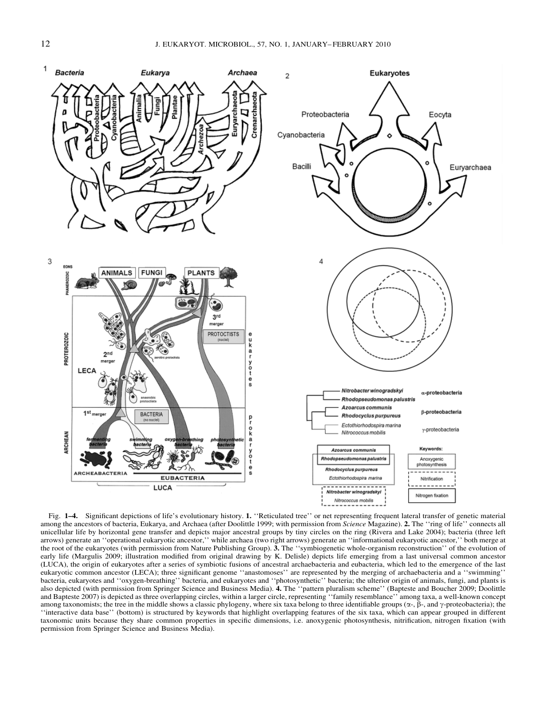

Fig. 1–4. Significant depictions of life's evolutionary history. 1. ''Reticulated tree'' or net representing frequent lateral transfer of genetic material among the ancestors of bacteria, Eukarya, and Archaea (after Doolittle 1999; with permission from Science Magazine). 2. The "ring of life" connects all unicellular life by horizontal gene transfer and depicts major ancestral groups by tiny circles on the ring (Rivera and Lake 2004); bacteria (three left arrows) generate an ''operational eukaryotic ancestor,'' while archaea (two right arrows) generate an ''informational eukaryotic ancestor,'' both merge at the root of the eukaryotes (with permission from Nature Publishing Group).  $\tilde{3}$ . The "symbiogenetic whole-organism reconstruction" of the evolution of early life (Margulis 2009; illustration modified from original drawing by K. Delisle) depicts life emerging from a last universal common ancestor (LUCA), the origin of eukaryotes after a series of symbiotic fusions of ancestral archaebacteria and eubacteria, which led to the emergence of the last eukaryotic common ancestor (LECA); three significant genome ''anastomoses'' are represented by the merging of archaebacteria and a ''swimming'' bacteria, eukaryotes and ''oxygen-breathing'' bacteria, and eukaryotes and ''photosynthetic'' bacteria; the ulterior origin of animals, fungi, and plants is also depicted (with permission from Springer Science and Business Media). 4. The ''pattern pluralism scheme'' (Bapteste and Boucher 2009; Doolittle and Bapteste 2007) is depicted as three overlapping circles, within a larger circle, representing ''family resemblance'' among taxa, a well-known concept among taxonomists; the tree in the middle shows a classic phylogeny, where six taxa belong to three identifiable groups  $(\alpha$ -,  $\beta$ -, and  $\gamma$ -proteobacteria); the ''interactive data base'' (bottom) is structured by keywords that highlight overlapping features of the six taxa, which can appear grouped in different taxonomic units because they share common properties in specific dimensions, i.e. anoxygenic photosynthesis, nitrification, nitrogen fixation (with permission from Springer Science and Business Media).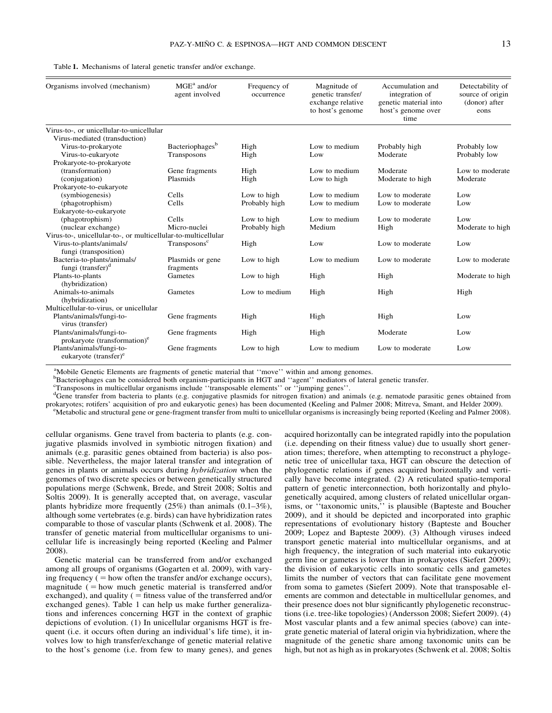| Organisms involved (mechanism)                                | MGE <sup>a</sup> and/or<br>agent involved | Frequency of<br>occurrence | Magnitude of<br>genetic transfer/<br>exchange relative<br>to host's genome | Accumulation and<br>integration of<br>genetic material into<br>host's genome over<br>time | Detectability of<br>source of origin<br>(donor) after<br>eons |
|---------------------------------------------------------------|-------------------------------------------|----------------------------|----------------------------------------------------------------------------|-------------------------------------------------------------------------------------------|---------------------------------------------------------------|
| Virus-to-, or unicellular-to-unicellular                      |                                           |                            |                                                                            |                                                                                           |                                                               |
| Virus-mediated (transduction)                                 |                                           |                            |                                                                            |                                                                                           |                                                               |
| Virus-to-prokaryote                                           | Bacteriophages <sup>b</sup>               | High                       | Low to medium                                                              | Probably high                                                                             | Probably low                                                  |
| Virus-to-eukaryote                                            | Transposons                               | High                       | Low                                                                        | Moderate                                                                                  | Probably low                                                  |
| Prokaryote-to-prokaryote                                      |                                           |                            |                                                                            |                                                                                           |                                                               |
| (transformation)                                              | Gene fragments                            | High                       | Low to medium                                                              | Moderate                                                                                  | Low to moderate                                               |
| (conjugation)                                                 | Plasmids                                  | High                       | Low to high                                                                | Moderate to high                                                                          | Moderate                                                      |
| Prokaryote-to-eukaryote                                       |                                           |                            |                                                                            |                                                                                           |                                                               |
| (symbiogenesis)                                               | Cells                                     | Low to high                | Low to medium                                                              | Low to moderate                                                                           | Low                                                           |
| (phagotrophism)                                               | Cells                                     | Probably high              | Low to medium                                                              | Low to moderate                                                                           | Low                                                           |
| Eukaryote-to-eukaryote                                        |                                           |                            |                                                                            |                                                                                           |                                                               |
| (phagotrophism)                                               | Cells                                     | Low to high                | Low to medium                                                              | Low to moderate                                                                           | Low                                                           |
| (nuclear exchange)                                            | Micro-nuclei                              | Probably high              | Medium                                                                     | High                                                                                      | Moderate to high                                              |
| Virus-to-, unicellular-to-, or multicellular-to-multicellular |                                           |                            |                                                                            |                                                                                           |                                                               |
| Virus-to-plants/animals/<br>fungi (transposition)             | Transposons <sup>c</sup>                  | High                       | Low                                                                        | Low to moderate                                                                           | Low                                                           |
| Bacteria-to-plants/animals/                                   | Plasmids or gene                          | Low to high                | Low to medium                                                              | Low to moderate                                                                           | Low to moderate                                               |
| fungi (transfer) <sup>d</sup>                                 | fragments                                 |                            |                                                                            |                                                                                           |                                                               |
| Plants-to-plants<br>(hybridization)                           | Gametes                                   | Low to high                | High                                                                       | High                                                                                      | Moderate to high                                              |
| Animals-to-animals<br>(hybridization)                         | Gametes                                   | Low to medium              | High                                                                       | High                                                                                      | High                                                          |
| Multicellular-to-virus, or unicellular                        |                                           |                            |                                                                            |                                                                                           |                                                               |
| Plants/animals/fungi-to-<br>virus (transfer)                  | Gene fragments                            | High                       | High                                                                       | High                                                                                      | Low                                                           |
| Plants/animals/fungi-to-<br>prokaryote (transformation) $e$   | Gene fragments                            | High                       | High                                                                       | Moderate                                                                                  | Low                                                           |
| Plants/animals/fungi-to-<br>eukaryote (transfer) <sup>e</sup> | Gene fragments                            | Low to high                | Low to medium                                                              | Low to moderate                                                                           | Low                                                           |

<sup>a</sup>Mobile Genetic Elements are fragments of genetic material that "move" within and among genomes.

b Bacteriophages can be considered both organism-participants in HGT and ''agent'' mediators of lateral genetic transfer.

c Transposons in multicellular organisms include ''transposable elements'' or ''jumping genes''.

<sup>d</sup>Gene transfer from bacteria to plants (e.g. conjugative plasmids for nitrogen fixation) and animals (e.g. nematode parasitic genes obtained from prokaryotes; rotifers' acquisition of pro and eukaryotic genes) has been documented (Keeling and Palmer 2008; Mitreva, Smant, and Helder 2009).

<sup>e</sup>Metabolic and structural gene or gene-fragment transfer from multi to unicellular organisms is increasingly being reported (Keeling and Palmer 2008).

cellular organisms. Gene travel from bacteria to plants (e.g. conjugative plasmids involved in symbiotic nitrogen fixation) and animals (e.g. parasitic genes obtained from bacteria) is also possible. Nevertheless, the major lateral transfer and integration of genes in plants or animals occurs during hybridization when the genomes of two discrete species or between genetically structured populations merge (Schwenk, Brede, and Streit 2008; Soltis and Soltis 2009). It is generally accepted that, on average, vascular plants hybridize more frequently (25%) than animals (0.1–3%), although some vertebrates (e.g. birds) can have hybridization rates comparable to those of vascular plants (Schwenk et al. 2008). The transfer of genetic material from multicellular organisms to unicellular life is increasingly being reported (Keeling and Palmer 2008).

Genetic material can be transferred from and/or exchanged among all groups of organisms (Gogarten et al. 2009), with varying frequency  $($  = how often the transfer and/or exchange occurs), magnitude  $($  = how much genetic material is transferred and/or exchanged), and quality ( $=$  fitness value of the transferred and/or exchanged genes). Table 1 can help us make further generalizations and inferences concerning HGT in the context of graphic depictions of evolution. (1) In unicellular organisms HGT is frequent (i.e. it occurs often during an individual's life time), it involves low to high transfer/exchange of genetic material relative to the host's genome (i.e. from few to many genes), and genes acquired horizontally can be integrated rapidly into the population (i.e. depending on their fitness value) due to usually short generation times; therefore, when attempting to reconstruct a phylogenetic tree of unicellular taxa, HGT can obscure the detection of phylogenetic relations if genes acquired horizontally and vertically have become integrated. (2) A reticulated spatio-temporal pattern of genetic interconnection, both horizontally and phylogenetically acquired, among clusters of related unicellular organisms, or ''taxonomic units,'' is plausible (Bapteste and Boucher 2009), and it should be depicted and incorporated into graphic representations of evolutionary history (Bapteste and Boucher 2009; Lopez and Bapteste 2009). (3) Although viruses indeed transport genetic material into multicellular organisms, and at high frequency, the integration of such material into eukaryotic germ line or gametes is lower than in prokaryotes (Siefert 2009); the division of eukaryotic cells into somatic cells and gametes limits the number of vectors that can facilitate gene movement from soma to gametes (Siefert 2009). Note that transposable elements are common and detectable in multicellular genomes, and their presence does not blur significantly phylogenetic reconstructions (i.e. tree-like topologies) (Andersson 2008; Siefert 2009). (4) Most vascular plants and a few animal species (above) can integrate genetic material of lateral origin via hybridization, where the magnitude of the genetic share among taxonomic units can be high, but not as high as in prokaryotes (Schwenk et al. 2008; Soltis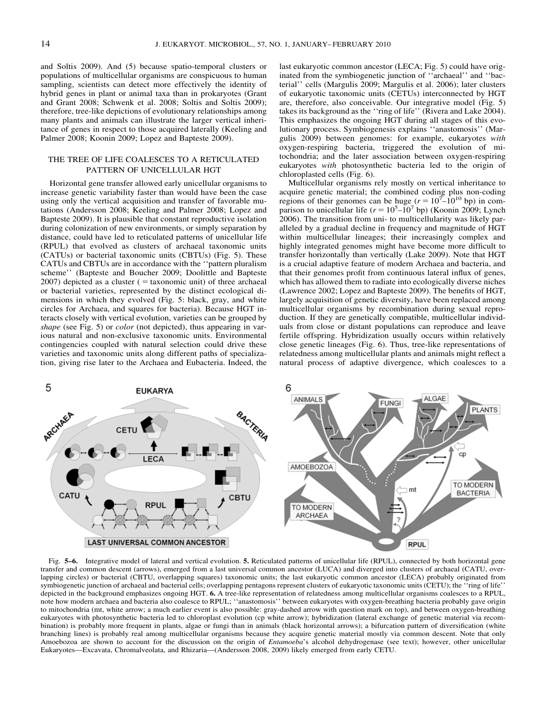and Soltis 2009). And (5) because spatio-temporal clusters or populations of multicellular organisms are conspicuous to human sampling, scientists can detect more effectively the identity of hybrid genes in plant or animal taxa than in prokaryotes (Grant and Grant 2008; Schwenk et al. 2008; Soltis and Soltis 2009); therefore, tree-like depictions of evolutionary relationships among many plants and animals can illustrate the larger vertical inheritance of genes in respect to those acquired laterally (Keeling and Palmer 2008; Koonin 2009; Lopez and Bapteste 2009).

## THE TREE OF LIFE COALESCES TO A RETICULATED PATTERN OF UNICELLULAR HGT

Horizontal gene transfer allowed early unicellular organisms to increase genetic variability faster than would have been the case using only the vertical acquisition and transfer of favorable mutations (Andersson 2008; Keeling and Palmer 2008; Lopez and Bapteste 2009). It is plausible that constant reproductive isolation during colonization of new environments, or simply separation by distance, could have led to reticulated patterns of unicellular life (RPUL) that evolved as clusters of archaeal taxonomic units (CATUs) or bacterial taxonomic units (CBTUs) (Fig. 5). These CATUs and CBTUs are in accordance with the ''pattern pluralism scheme'' (Bapteste and Boucher 2009; Doolittle and Bapteste  $2007$ ) depicted as a cluster (= taxonomic unit) of three archaeal or bacterial varieties, represented by the distinct ecological dimensions in which they evolved (Fig. 5: black, gray, and white circles for Archaea, and squares for bacteria). Because HGT interacts closely with vertical evolution, varieties can be grouped by shape (see Fig. 5) or *color* (not depicted), thus appearing in various natural and non-exclusive taxonomic units. Environmental contingencies coupled with natural selection could drive these varieties and taxonomic units along different paths of specialization, giving rise later to the Archaea and Eubacteria. Indeed, the last eukaryotic common ancestor (LECA; Fig. 5) could have originated from the symbiogenetic junction of ''archaeal'' and ''bacterial'' cells (Margulis 2009; Margulis et al. 2006); later clusters of eukaryotic taxonomic units (CETUs) interconnected by HGT are, therefore, also conceivable. Our integrative model (Fig. 5) takes its background as the ''ring of life'' (Rivera and Lake 2004). This emphasizes the ongoing HGT during all stages of this evolutionary process. Symbiogenesis explains ''anastomosis'' (Margulis 2009) between genomes: for example, eukaryotes with oxygen-respiring bacteria, triggered the evolution of mitochondria; and the later association between oxygen-respiring eukaryotes with photosynthetic bacteria led to the origin of chloroplasted cells (Fig. 6).

Multicellular organisms rely mostly on vertical inheritance to acquire genetic material; the combined coding plus non-coding regions of their genomes can be huge  $(r = 10^{7} - 10^{10}$  bp) in comparison to unicellular life ( $r = 10^5 - 10^7$  bp) (Koonin 2009; Lynch 2006). The transition from uni- to multicellularity was likely paralleled by a gradual decline in frequency and magnitude of HGT within multicellular lineages; their increasingly complex and highly integrated genomes might have become more difficult to transfer horizontally than vertically (Lake 2009). Note that HGT is a crucial adaptive feature of modern Archaea and bacteria, and that their genomes profit from continuous lateral influx of genes, which has allowed them to radiate into ecologically diverse niches (Lawrence 2002; Lopez and Bapteste 2009). The benefits of HGT, largely acquisition of genetic diversity, have been replaced among multicellular organisms by recombination during sexual reproduction. If they are genetically compatible, multicellular individuals from close or distant populations can reproduce and leave fertile offspring. Hybridization usually occurs within relatively close genetic lineages (Fig. 6). Thus, tree-like representations of relatedness among multicellular plants and animals might reflect a natural process of adaptive divergence, which coalesces to a



Fig. 5–6. Integrative model of lateral and vertical evolution. 5. Reticulated patterns of unicellular life (RPUL), connected by both horizontal gene transfer and common descent (arrows), emerged from a last universal common ancestor (LUCA) and diverged into clusters of archaeal (CATU, overlapping circles) or bacterial (CBTU, overlapping squares) taxonomic units; the last eukaryotic common ancestor (LECA) probably originated from symbiogenetic junction of archaeal and bacterial cells; overlapping pentagons represent clusters of eukaryotic taxonomic units (CETU); the "ring of life" depicted in the background emphasizes ongoing HGT. 6. A tree-like representation of relatedness among multicellular organisms coalesces to a RPUL, note how modern archaea and bacteria also coalesce to RPUL; ''anastomosis'' between eukaryotes with oxygen-breathing bacteria probably gave origin to mitochondria (mt, white arrow; a much earlier event is also possible: gray-dashed arrow with question mark on top), and between oxygen-breathing eukaryotes with photosynthetic bacteria led to chloroplast evolution (cp white arrow); hybridization (lateral exchange of genetic material via recombination) is probably more frequent in plants, algae or fungi than in animals (black horizontal arrows); a bifurcation pattern of diversification (white branching lines) is probably real among multicellular organisms because they acquire genetic material mostly via common descent. Note that only Amoebozoa are shown to account for the discussion on the origin of *Entamoeba*'s alcohol dehydrogenase (see text); however, other unicellular Eukaryotes—Excavata, Chromalveolata, and Rhizaria—(Andersson 2008, 2009) likely emerged from early CETU.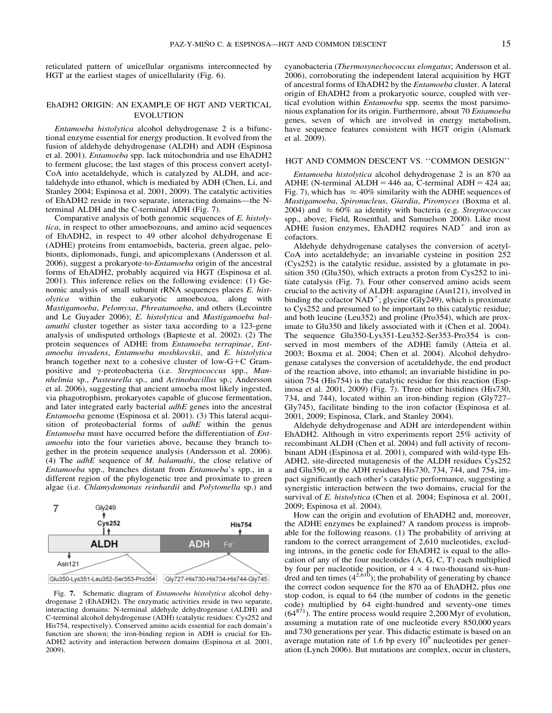reticulated pattern of unicellular organisms interconnected by HGT at the earliest stages of unicellularity (Fig. 6).

## EhADH2 ORIGIN: AN EXAMPLE OF HGT AND VERTICAL EVOLUTION

Entamoeba histolytica alcohol dehydrogenase 2 is a bifunctional enzyme essential for energy production. It evolved from the fusion of aldehyde dehydrogenase (ALDH) and ADH (Espinosa et al. 2001). Entamoeba spp. lack mitochondria and use EhADH2 to ferment glucose; the last stages of this process convert acetyl-CoA into acetaldehyde, which is catalyzed by ALDH, and acetaldehyde into ethanol, which is mediated by ADH (Chen, Li, and Stanley 2004; Espinosa et al. 2001, 2009). The catalytic activities of EhADH2 reside in two separate, interacting domains—the Nterminal ALDH and the C-terminal ADH (Fig. 7).

Comparative analysis of both genomic sequences of E. histolytica, in respect to other amoebozoans, and amino acid sequences of EhADH2, in respect to 49 other alcohol dehydrogenase E (ADHE) proteins from entamoebids, bacteria, green algae, pelobionts, diplomonads, fungi, and apicomplexans (Andersson et al. 2006), suggest a prokaryote-to-Entamoeba origin of the ancestral forms of EhADH2, probably acquired via HGT (Espinosa et al. 2001). This inference relies on the following evidence: (1) Genomic analysis of small subunit rRNA sequences places E. histolytica within the eukaryotic amoebozoa, along with Mastigamoeba, Pelomyxa, Phreatamoeba, and others (Lecointre and Le Guyader 2006); E. histolytica and Mastigamoeba balamuthi cluster together as sister taxa according to a 123-gene analysis of undisputed orthologs (Bapteste et al. 2002). (2) The protein sequences of ADHE from Entamoeba terrapinae, Entamoeba invadens, Entamoeba moshkovskii, and E. histolytica branch together next to a cohesive cluster of low- $G+C$  Grampositive and y-proteobacteria (i.e. Streptococcus spp., Mannhelmia sp., Pasteurella sp., and Actinobacillus sp.; Andersson et al. 2006), suggesting that ancient amoeba most likely ingested, via phagotrophism, prokaryotes capable of glucose fermentation, and later integrated early bacterial *adhE* genes into the ancestral Entamoeba genome (Espinosa et al. 2001). (3) This lateral acquisition of proteobacterial forms of  $adhE$  within the genus Entamoeba must have occurred before the differentiation of Entamoeba into the four varieties above, because they branch together in the protein sequence analysis (Andersson et al. 2006). (4) The  $adhE$  sequence of  $M$ .  $balamuthi$ , the close relative of Entamoeba spp., branches distant from Entamoeba's spp., in a different region of the phylogenetic tree and proximate to green algae (i.e. Chlamydomonas reinhardii and Polytomella sp.) and



Fig. 7. Schematic diagram of Entamoeba histolytica alcohol dehydrogenase 2 (EhADH2). The enzymatic activities reside in two separate, interacting domains: N-terminal aldehyde dehydrogenase (ALDH) and C-terminal alcohol dehydrogenase (ADH) (catalytic residues: Cys252 and His754, respectively). Conserved amino acids essential for each domain's function are shown; the iron-binding region in ADH is crucial for Eh-ADH2 activity and interaction between domains (Espinosa et al. 2001, 2009).

cyanobacteria (Thermosynechococcus elongatus; Andersson et al. 2006), corroborating the independent lateral acquisition by HGT of ancestral forms of EhADH2 by the Entamoeba cluster. A lateral origin of EhADH2 from a prokaryotic source, coupled with vertical evolution within Entamoeba spp. seems the most parsimonious explanation for its origin. Furthermore, about 70 Entamoeba genes, seven of which are involved in energy metabolism, have sequence features consistent with HGT origin (Alsmark et al. 2009).

#### HGT AND COMMON DESCENT VS. ''COMMON DESIGN''

Entamoeba histolytica alcohol dehydrogenase 2 is an 870 aa ADHE (N-terminal ALDH =  $446$  aa, C-terminal ADH =  $424$  aa; Fig. 7), which has  $\approx 40\%$  similarity with the ADHE sequences of Mastigamoeba, Spironucleus, Giardia, Piromyces (Boxma et al. 2004) and  $\approx 60\%$  aa identity with bacteria (e.g. Streptococcus spp., above; Field, Rosenthal, and Samuelson 2000). Like most ADHE fusion enzymes, EhADH2 requires  $NAD<sup>+</sup>$  and iron as cofactors.

Aldehyde dehydrogenase catalyses the conversion of acetyl-CoA into acetaldehyde; an invariable cysteine in position 252 (Cys252) is the catalytic residue, assisted by a glutamate in position 350 (Glu350), which extracts a proton from Cys252 to initiate catalysis (Fig. 7). Four other conserved amino acids seem crucial to the activity of ALDH: asparagine (Asn121), involved in binding the cofactor  $NAD^+$ ; glycine (Gly249), which is proximate to Cys252 and presumed to be important to this catalytic residue; and both leucine (Leu352) and proline (Pro354), which are proximate to Glu350 and likely associated with it (Chen et al. 2004). The sequence Glu350-Lys351-Leu352-Ser353-Pro354 is conserved in most members of the ADHE family (Atteia et al. 2003; Boxma et al. 2004; Chen et al. 2004). Alcohol dehydrogenase catalyses the conversion of acetaldehyde, the end product of the reaction above, into ethanol; an invariable histidine in position 754 (His754) is the catalytic residue for this reaction (Espinosa et al. 2001, 2009) (Fig. 7). Three other histidines (His730, 734, and 744), located within an iron-binding region (Gly727– Gly745), facilitate binding to the iron cofactor (Espinosa et al. 2001, 2009; Espinosa, Clark, and Stanley 2004).

Aldehyde dehydrogenase and ADH are interdependent within EhADH2. Although in vitro experiments report 25% activity of recombinant ALDH (Chen et al. 2004) and full activity of recombinant ADH (Espinosa et al. 2001), compared with wild-type Eh-ADH2, site-directed mutagenesis of the ALDH residues Cys252 and Glu350, or the ADH residues His730, 734, 744, and 754, impact significantly each other's catalytic performance, suggesting a synergistic interaction between the two domains, crucial for the survival of E. histolytica (Chen et al. 2004; Espinosa et al. 2001, 2009; Espinosa et al. 2004).

How can the origin and evolution of EhADH2 and, moreover, the ADHE enzymes be explained? A random process is improbable for the following reasons. (1) The probability of arriving at random to the correct arrangement of 2,610 nucleotides, excluding introns, in the genetic code for EhADH2 is equal to the allocation of any of the four nucleotides (A, G, C, T) each multiplied by four per nucleotide position, or  $4 \times 4$  two-thousand six-hundred and ten times  $(4^{2.610})$ ; the probability of generating by chance the correct codon sequence for the 870 aa of EhADH2, plus one stop codon, is equal to 64 (the number of codons in the genetic code) multiplied by 64 eight-hundred and seventy-one times  $(64^{871})$ . The entire process would require 2,200 Myr of evolution, assuming a mutation rate of one nucleotide every 850,000 years and 730 generations per year. This didactic estimate is based on an average mutation rate of 1.6 bp every  $10<sup>9</sup>$  nucleotides per generation (Lynch 2006). But mutations are complex, occur in clusters,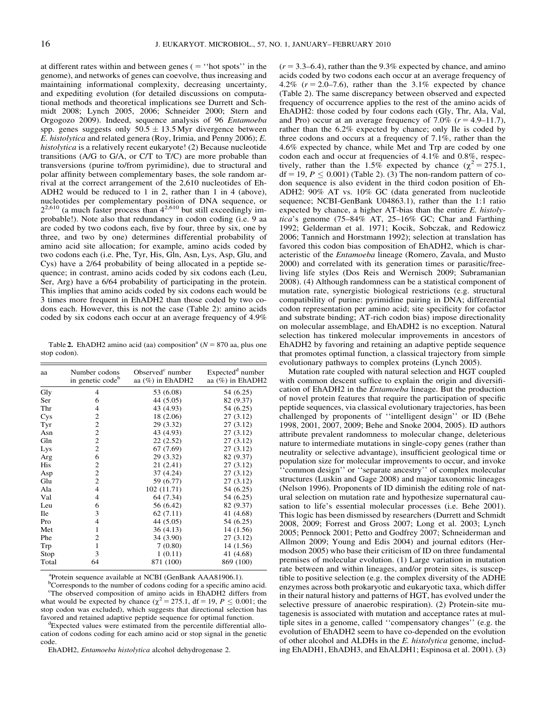at different rates within and between genes  $( = "hot spots" in the$ genome), and networks of genes can coevolve, thus increasing and maintaining informational complexity, decreasing uncertainty, and expediting evolution (for detailed discussions on computational methods and theoretical implications see Durrett and Schmidt 2008; Lynch 2005, 2006; Schneider 2000; Stern and Orgogozo 2009). Indeed, sequence analysis of 96 Entamoeba spp. genes suggests only  $50.5 \pm 13.5$  Myr divergence between E. histolytica and related genera (Roy, Irimia, and Penny 2006); E. histolytica is a relatively recent eukaryote! (2) Because nucleotide transitions (A/G to G/A, or C/T to T/C) are more probable than transversions (purine to/from pyrimidine), due to structural and polar affinity between complementary bases, the sole random arrival at the correct arrangement of the 2,610 nucleotides of Eh-ADH2 would be reduced to 1 in 2, rather than 1 in 4 (above), nucleotides per complementary position of DNA sequence, or  $2^{2,610}$  (a much faster process than  $4^{2,610}$  but still exceedingly improbable!). Note also that redundancy in codon coding (i.e. 9 aa are coded by two codons each, five by four, three by six, one by three, and two by one) determines differential probability of amino acid site allocation; for example, amino acids coded by two codons each (i.e. Phe, Tyr, His, Gln, Asn, Lys, Asp, Glu, and Cys) have a 2/64 probability of being allocated in a peptide sequence; in contrast, amino acids coded by six codons each (Leu, Ser, Arg) have a 6/64 probability of participating in the protein. This implies that amino acids coded by six codons each would be 3 times more frequent in EhADH2 than those coded by two codons each. However, this is not the case (Table 2): amino acids coded by six codons each occur at an average frequency of 4.9%

Table 2. EhADH2 amino acid (aa) composition<sup>a</sup> ( $N = 870$  aa, plus one stop codon).

| aa         | Number codons<br>in genetic code <sup>b</sup> | Observed <sup>c</sup> number<br>aa $(\%)$ in EhADH2 | Expected <sup>d</sup> number<br>aa (%) in EhADH2 |
|------------|-----------------------------------------------|-----------------------------------------------------|--------------------------------------------------|
| Gly        | $\overline{4}$                                | 53 (6.08)                                           | 54 (6.25)                                        |
| Ser        | 6                                             | 44 (5.05)                                           | 82 (9.37)                                        |
| Thr        | 4                                             | 43 (4.93)                                           | 54 (6.25)                                        |
| Cys        | 2                                             | 18 (2.06)                                           | 27(3.12)                                         |
| Tyr        | $\overline{c}$                                | 29 (3.32)                                           | 27(3.12)                                         |
| Asn        | $\overline{c}$                                | 43 (4.93)                                           | 27(3.12)                                         |
| Gln        | $\overline{\mathbf{c}}$                       | 22(2.52)                                            | 27(3.12)                                         |
| Lys        | $\overline{c}$                                | 67(7.69)                                            | 27(3.12)                                         |
| Arg        | 6                                             | 29 (3.32)                                           | 82 (9.37)                                        |
| His        | $\overline{2}$                                | 21(2.41)                                            | 27(3.12)                                         |
| Asp        | $\overline{\mathbf{c}}$                       | 37 (4.24)                                           | 27(3.12)                                         |
| Glu        | $\overline{c}$                                | 59 (6.77)                                           | 27(3.12)                                         |
| Ala        | $\overline{4}$                                | 102 (11.71)                                         | 54 (6.25)                                        |
| Val        | $\overline{4}$                                | 64 (7.34)                                           | 54 (6.25)                                        |
| Leu        | 6                                             | 56 (6.42)                                           | 82 (9.37)                                        |
| <b>Ile</b> | 3                                             | 62(7.11)                                            | 41 (4.68)                                        |
| Pro        | 4                                             | 44 (5.05)                                           | 54 (6.25)                                        |
| Met        | 1                                             | 36(4.13)                                            | 14 (1.56)                                        |
| Phe        | $\overline{c}$                                | 34 (3.90)                                           | 27(3.12)                                         |
| Trp        | 1                                             | 7(0.80)                                             | 14 (1.56)                                        |
| Stop       | 3                                             | 1(0.11)                                             | 41 (4.68)                                        |
| Total      | 64                                            | 871 (100)                                           | 869 (100)                                        |
|            |                                               |                                                     |                                                  |

<sup>a</sup>Protein sequence available at NCBI (GenBank AAA81906.1).

<sup>b</sup>Corresponds to the number of codons coding for a specific amino acid. <sup>c</sup>The observed composition of amino acids in EhADH2 differs from what would be expected by chance ( $\gamma^2 = 275.1$ , df = 19, P < 0.001; the stop codon was excluded), which suggests that directional selection has favored and retained adaptive peptide sequence for optimal function.

Expected values were estimated from the percentile differential allocation of codons coding for each amino acid or stop signal in the genetic code.

EhADH2, Entamoeba histolytica alcohol dehydrogenase 2.

 $(r = 3.3–6.4)$ , rather than the 9.3% expected by chance, and amino acids coded by two codons each occur at an average frequency of 4.2% ( $r = 2.0-7.6$ ), rather than the 3.1% expected by chance (Table 2). The same discrepancy between observed and expected frequency of occurrence applies to the rest of the amino acids of EhADH2: those coded by four codons each (Gly, Thr, Ala, Val, and Pro) occur at an average frequency of 7.0% ( $r = 4.9$ –11.7), rather than the 6.2% expected by chance; only Ile is coded by three codons and occurs at a frequency of 7.1%, rather than the 4.6% expected by chance, while Met and Trp are coded by one codon each and occur at frequencies of 4.1% and 0.8%, respectively, rather than the 1.5% expected by chance  $(\chi^2 = 275.1,$  $df = 19, P \le 0.001$ ) (Table 2). (3) The non-random pattern of codon sequence is also evident in the third codon position of Eh-ADH2: 90% AT vs. 10% GC (data generated from nucleotide sequence; NCBI-GenBank U04863.1), rather than the 1:1 ratio expected by chance, a higher AT-bias than the entire E. histolytica's genome (75–84% AT, 25–16% GC; Char and Farthing 1992; Gelderman et al. 1971; Kocik, Sobczak, and Redowicz 2006; Tannich and Horstmann 1992); selection at translation has favored this codon bias composition of EhADH2, which is characteristic of the Entamoeba lineage (Romero, Zavala, and Musto 2000) and correlated with its generation times or parasitic/freeliving life styles (Dos Reis and Wernisch 2009; Subramanian 2008). (4) Although randomness can be a statistical component of mutation rate, synergistic biological restrictions (e.g. structural compatibility of purine: pyrimidine pairing in DNA; differential codon representation per amino acid; site specificity for cofactor and substrate binding; AT-rich codon bias) impose directionality on molecular assemblage, and EhADH2 is no exception. Natural selection has tinkered molecular improvements in ancestors of EhADH2 by favoring and retaining an adaptive peptide sequence that promotes optimal function, a classical trajectory from simple evolutionary pathways to complex proteins (Lynch 2005).

Mutation rate coupled with natural selection and HGT coupled with common descent suffice to explain the origin and diversification of EhADH2 in the Entamoeba lineage. But the production of novel protein features that require the participation of specific peptide sequences, via classical evolutionary trajectories, has been challenged by proponents of ''intelligent design'' or ID (Behe 1998, 2001, 2007, 2009; Behe and Snoke 2004, 2005). ID authors attribute prevalent randomness to molecular change, deleterious nature to intermediate mutations in single-copy genes (rather than neutrality or selective advantage), insufficient geological time or population size for molecular improvements to occur, and invoke ''common design'' or ''separate ancestry'' of complex molecular structures (Luskin and Gage 2008) and major taxonomic lineages (Nelson 1996). Proponents of ID diminish the editing role of natural selection on mutation rate and hypothesize supernatural causation to life's essential molecular processes (i.e. Behe 2001). This logic has been dismissed by researchers (Durrett and Schmidt 2008, 2009; Forrest and Gross 2007; Long et al. 2003; Lynch 2005; Pennock 2001; Petto and Godfrey 2007; Schneiderman and Allmon 2009; Young and Edis 2004) and journal editors (Hermodson 2005) who base their criticism of ID on three fundamental premises of molecular evolution. (1) Large variation in mutation rate between and within lineages, and/or protein sites, is susceptible to positive selection (e.g. the complex diversity of the ADHE enzymes across both prokaryotic and eukaryotic taxa, which differ in their natural history and patterns of HGT, has evolved under the selective pressure of anaerobic respiration). (2) Protein-site mutagenesis is associated with mutation and acceptance rates at multiple sites in a genome, called ''compensatory changes'' (e.g. the evolution of EhADH2 seem to have co-depended on the evolution of other alcohol and ALDHs in the E. histolytica genome, including EhADH1, EhADH3, and EhALDH1; Espinosa et al. 2001). (3)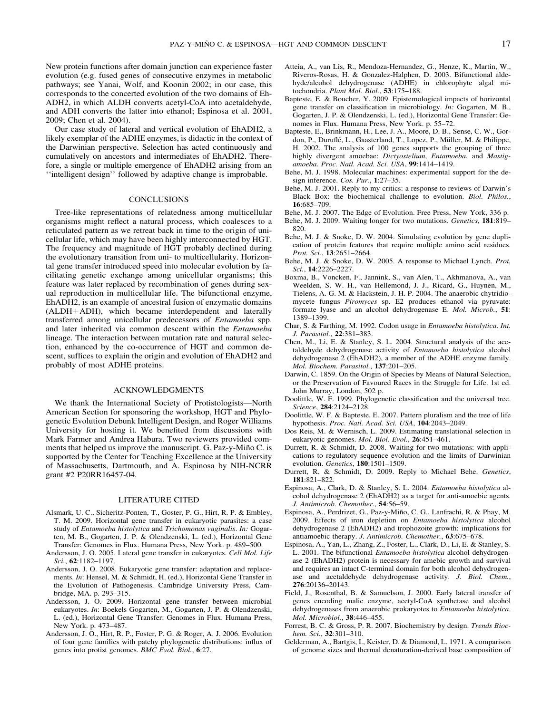New protein functions after domain junction can experience faster evolution (e.g. fused genes of consecutive enzymes in metabolic pathways; see Yanai, Wolf, and Koonin 2002; in our case, this corresponds to the concerted evolution of the two domains of Eh-ADH2, in which ALDH converts acetyl-CoA into acetaldehyde, and ADH converts the latter into ethanol; Espinosa et al. 2001, 2009; Chen et al. 2004).

Our case study of lateral and vertical evolution of EhADH2, a likely exemplar of the ADHE enzymes, is didactic in the context of the Darwinian perspective. Selection has acted continuously and cumulatively on ancestors and intermediates of EhADH2. Therefore, a single or multiple emergence of EhADH2 arising from an ''intelligent design'' followed by adaptive change is improbable.

#### **CONCLUSIONS**

Tree-like representations of relatedness among multicellular organisms might reflect a natural process, which coalesces to a reticulated pattern as we retreat back in time to the origin of unicellular life, which may have been highly interconnected by HGT. The frequency and magnitude of HGT probably declined during the evolutionary transition from uni- to multicellularity. Horizontal gene transfer introduced speed into molecular evolution by facilitating genetic exchange among unicellular organisms; this feature was later replaced by recombination of genes during sexual reproduction in multicellular life. The bifunctional enzyme, EhADH2, is an example of ancestral fusion of enzymatic domains  $(ALDH+ADH)$ , which became interdependent and laterally transferred among unicellular predecessors of Entamoeba spp. and later inherited via common descent within the Entamoeba lineage. The interaction between mutation rate and natural selection, enhanced by the co-occurrence of HGT and common descent, suffices to explain the origin and evolution of EhADH2 and probably of most ADHE proteins.

## ACKNOWLEDGMENTS

We thank the International Society of Protistologists—North American Section for sponsoring the workshop, HGT and Phylogenetic Evolution Debunk Intelligent Design, and Roger Williams University for hosting it. We benefited from discussions with Mark Farmer and Andrea Habura. Two reviewers provided comments that helped us improve the manuscript. G. Paz-y-Mino C. is supported by the Center for Teaching Excellence at the University of Massachusetts, Dartmouth, and A. Espinosa by NIH-NCRR grant #2 P20RR16457-04.

#### LITERATURE CITED

- Alsmark, U. C., Sicheritz-Ponten, T., Goster, P. G., Hirt, R. P. & Embley, T. M. 2009. Horizontal gene transfer in eukaryotic parasites: a case study of Entamoeba histolytica and Trichomonas vaginalis. In: Gogarten, M. B., Gogarten, J. P. & Olendzenski, L. (ed.), Horizontal Gene Transfer: Genomes in Flux. Humana Press, New York. p. 489–500.
- Andersson, J. O. 2005. Lateral gene transfer in eukaryotes. Cell Mol. Life Sci., 62:1182–1197.
- Andersson, J. O. 2008. Eukaryotic gene transfer: adaptation and replacements. In: Hensel, M. & Schmidt, H. (ed.), Horizontal Gene Transfer in the Evolution of Pathogenesis. Cambridge University Press, Cambridge, MA. p. 293–315.
- Andersson, J. O. 2009. Horizontal gene transfer between microbial eukaryotes. In: Boekels Gogarten, M., Gogarten, J. P. & Olendzenski, L. (ed.), Horizontal Gene Transfer: Genomes in Flux. Humana Press, New York. p. 473–487.
- Andersson, J. O., Hirt, R. P., Foster, P. G. & Roger, A. J. 2006. Evolution of four gene families with patchy phylogenetic distributions: influx of genes into protist genomes. BMC Evol. Biol., 6:27.
- Atteia, A., van Lis, R., Mendoza-Hernandez, G., Henze, K., Martin, W., Riveros-Rosas, H. & Gonzalez-Halphen, D. 2003. Bifunctional aldehyde/alcohol dehydrogenase (ADHE) in chlorophyte algal mitochondria. Plant Mol. Biol., 53:175–188.
- Bapteste, E. & Boucher, Y. 2009. Epistemological impacts of horizontal gene transfer on classification in microbiology. In: Gogarten, M. B., Gogarten, J. P. & Olendzenski, L. (ed.), Horizontal Gene Transfer: Genomes in Flux. Humana Press, New York. p. 55–72.
- Bapteste, E., Brinkmann, H., Lee, J. A., Moore, D. B., Sense, C. W., Gordon, P., Duruflé, L., Gaasterland, T., Lopez, P., Müller, M. & Philippe, H. 2002. The analysis of 100 genes supports the grouping of three highly divergent amoebae: Dictyostelium, Entamoeba, and Mastigamoeba. Proc. Natl. Acad. Sci. USA, 99:1414–1419.
- Behe, M. J. 1998. Molecular machines: experimental support for the design inference. Cos. Pur., 1:27-35.
- Behe, M. J. 2001. Reply to my critics: a response to reviews of Darwin's Black Box: the biochemical challenge to evolution. Biol. Philos., 16:685–709.
- Behe, M. J. 2007. The Edge of Evolution. Free Press, New York, 336 p.
- Behe, M. J. 2009. Waiting longer for two mutations. Genetics, 181:819– 820.
- Behe, M. J. & Snoke, D. W. 2004. Simulating evolution by gene duplication of protein features that require multiple amino acid residues. Prot. Sci., 13:2651–2664.
- Behe, M. J. & Snoke, D. W. 2005. A response to Michael Lynch. Prot. Sci., 14:2226–2227.
- Boxma, B., Voncken, F., Jannink, S., van Alen, T., Akhmanova, A., van Weelden, S. W. H., van Hellemond, J. J., Ricard, G., Huynen, M., Tielens, A. G. M. & Hackstein, J. H. P. 2004. The anaerobic chytridiomycete fungus Piromyces sp. E2 produces ethanol via pyruvate: formate lyase and an alcohol dehydrogenase E. Mol. Microb., 51: 1389–1399.
- Char, S. & Farthing, M. 1992. Codon usage in Entamoeba histolytica. Int. J. Parasitol., 22:381–383.
- Chen, M., Li, E. & Stanley, S. L. 2004. Structural analysis of the acetaldehyde dehydrogenase activity of Entamoeba histolytica alcohol dehydrogenase 2 (EhADH2), a member of the ADHE enzyme family. Mol. Biochem. Parasitol., 137:201–205.
- Darwin, C. 1859. On the Origin of Species by Means of Natural Selection, or the Preservation of Favoured Races in the Struggle for Life. 1st ed. John Murray, London, 502 p.
- Doolittle, W. F. 1999. Phylogenetic classification and the universal tree. Science, 284:2124–2128.
- Doolittle, W. F. & Bapteste, E. 2007. Pattern pluralism and the tree of life hypothesis. Proc. Natl. Acad. Sci. USA, 104:2043-2049.
- Dos Reis, M. & Wernisch, L. 2009. Estimating translational selection in eukaryotic genomes. Mol. Biol. Evol., 26:451–461.
- Durrett, R. & Schmidt, D. 2008. Waiting for two mutations: with applications to regulatory sequence evolution and the limits of Darwinian evolution. Genetics, 180:1501–1509.
- Durrett, R. & Schmidt, D. 2009. Reply to Michael Behe. Genetics, 181:821–822.
- Espinosa, A., Clark, D. & Stanley, S. L. 2004. Entamoeba histolytica alcohol dehydrogenase 2 (EhADH2) as a target for anti-amoebic agents. J. Antimicrob. Chemother., 54:56–59.
- Espinosa, A., Perdrizet, G., Paz-y-Miño, C. G., Lanfrachi, R. & Phay, M. 2009. Effects of iron depletion on Entamoeba histolytica alcohol dehydrogenase 2 (EhADH2) and trophozoite growth: implications for antiamoebic therapy. J. Antimicrob. Chemother., 63:675–678.
- Espinosa, A., Yan, L., Zhang, Z., Foster, L., Clark, D., Li, E. & Stanley, S. L. 2001. The bifunctional Entamoeba histolytica alcohol dehydrogenase 2 (EhADH2) protein is necessary for amebic growth and survival and requires an intact C-terminal domain for both alcohol dehydrogenase and acetaldehyde dehydrogenase activity. J. Biol. Chem., 276:20136–20143.
- Field, J., Rosenthal, B. & Samuelson, J. 2000. Early lateral transfer of genes encoding malic enzyme, acetyl-CoA synthetase and alcohol dehydrogenases from anaerobic prokaryotes to Entamoeba histolytica. Mol. Microbiol., 38:446–455.
- Forrest, B. C. & Gross, P. R. 2007. Biochemistry by design. Trends Biochem. Sci., 32:301-310.
- Gelderman, A., Bartgis, I., Keister, D. & Diamond, L. 1971. A comparison of genome sizes and thermal denaturation-derived base composition of